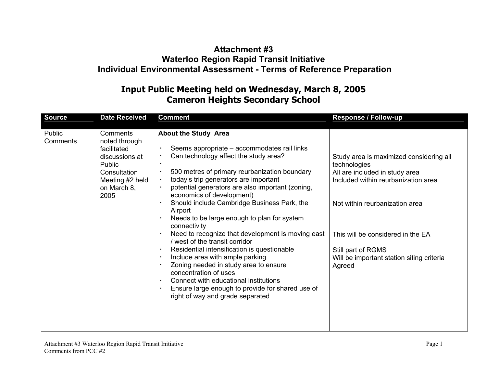## **Attachment #3 Waterloo Region Rapid Transit Initiative Individual Environmental Assessment - Terms of Reference Preparation**

## **Input Public Meeting held on Wednesday, March 8, 2005 Cameron Heights Secondary School**

| Source             | <b>Date Received</b>                                                                                                           | <b>Comment</b>                                                                                                                                                                                                                                                                                                                                                                                                                                                                                                                                                                                                                                                                                                                                                                                    | Response / Follow-up                                                                                                                                                                                                                                                                 |
|--------------------|--------------------------------------------------------------------------------------------------------------------------------|---------------------------------------------------------------------------------------------------------------------------------------------------------------------------------------------------------------------------------------------------------------------------------------------------------------------------------------------------------------------------------------------------------------------------------------------------------------------------------------------------------------------------------------------------------------------------------------------------------------------------------------------------------------------------------------------------------------------------------------------------------------------------------------------------|--------------------------------------------------------------------------------------------------------------------------------------------------------------------------------------------------------------------------------------------------------------------------------------|
| Public<br>Comments | Comments<br>noted through<br>facilitated<br>discussions at<br>Public<br>Consultation<br>Meeting #2 held<br>on March 8,<br>2005 | <b>About the Study Area</b><br>Seems appropriate - accommodates rail links<br>Can technology affect the study area?<br>500 metres of primary reurbanization boundary<br>today's trip generators are important<br>potential generators are also important (zoning,<br>economics of development)<br>Should include Cambridge Business Park, the<br>Airport<br>Needs to be large enough to plan for system<br>connectivity<br>Need to recognize that development is moving east<br>west of the transit corridor<br>Residential intensification is questionable<br>Include area with ample parking<br>Zoning needed in study area to ensure<br>concentration of uses<br>Connect with educational institutions<br>Ensure large enough to provide for shared use of<br>right of way and grade separated | Study area is maximized considering all<br>technologies<br>All are included in study area<br>Included within reurbanization area<br>Not within reurbanization area<br>This will be considered in the EA<br>Still part of RGMS<br>Will be important station siting criteria<br>Agreed |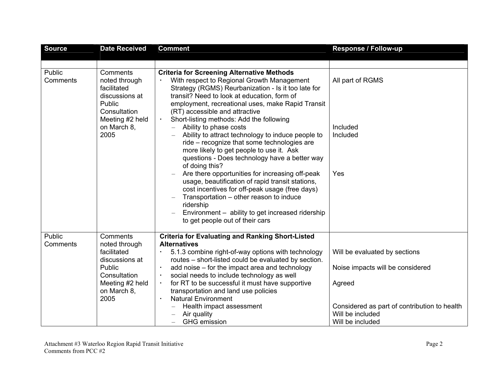| <b>Source</b>      | <b>Date Received</b>                                                                                                           | <b>Comment</b>                                                                                                                                                                                                                                                                                                                                                                                                                                                                                                                                                                                                                                                                                                                                                                                                                                                                                | Response / Follow-up                                                                                                                                                |
|--------------------|--------------------------------------------------------------------------------------------------------------------------------|-----------------------------------------------------------------------------------------------------------------------------------------------------------------------------------------------------------------------------------------------------------------------------------------------------------------------------------------------------------------------------------------------------------------------------------------------------------------------------------------------------------------------------------------------------------------------------------------------------------------------------------------------------------------------------------------------------------------------------------------------------------------------------------------------------------------------------------------------------------------------------------------------|---------------------------------------------------------------------------------------------------------------------------------------------------------------------|
|                    |                                                                                                                                |                                                                                                                                                                                                                                                                                                                                                                                                                                                                                                                                                                                                                                                                                                                                                                                                                                                                                               |                                                                                                                                                                     |
| Public<br>Comments | Comments<br>noted through<br>facilitated<br>discussions at<br>Public<br>Consultation<br>Meeting #2 held<br>on March 8,<br>2005 | <b>Criteria for Screening Alternative Methods</b><br>With respect to Regional Growth Management<br>Strategy (RGMS) Reurbanization - Is it too late for<br>transit? Need to look at education, form of<br>employment, recreational uses, make Rapid Transit<br>(RT) accessible and attractive<br>Short-listing methods: Add the following<br>Ability to phase costs<br>Ability to attract technology to induce people to<br>ride - recognize that some technologies are<br>more likely to get people to use it. Ask<br>questions - Does technology have a better way<br>of doing this?<br>Are there opportunities for increasing off-peak<br>usage, beautification of rapid transit stations,<br>cost incentives for off-peak usage (free days)<br>Transportation - other reason to induce<br>ridership<br>Environment - ability to get increased ridership<br>to get people out of their cars | All part of RGMS<br>Included<br>Included<br>Yes                                                                                                                     |
| Public<br>Comments | Comments<br>noted through<br>facilitated<br>discussions at<br>Public<br>Consultation<br>Meeting #2 held<br>on March 8,<br>2005 | <b>Criteria for Evaluating and Ranking Short-Listed</b><br><b>Alternatives</b><br>5.1.3 combine right-of-way options with technology<br>routes - short-listed could be evaluated by section.<br>add noise – for the impact area and technology<br>social needs to include technology as well<br>$\blacksquare$<br>for RT to be successful it must have supportive<br>transportation and land use policies<br><b>Natural Environment</b><br>$\blacksquare$<br>Health impact assessment<br>Air quality<br><b>GHG</b> emission                                                                                                                                                                                                                                                                                                                                                                   | Will be evaluated by sections<br>Noise impacts will be considered<br>Agreed<br>Considered as part of contribution to health<br>Will be included<br>Will be included |